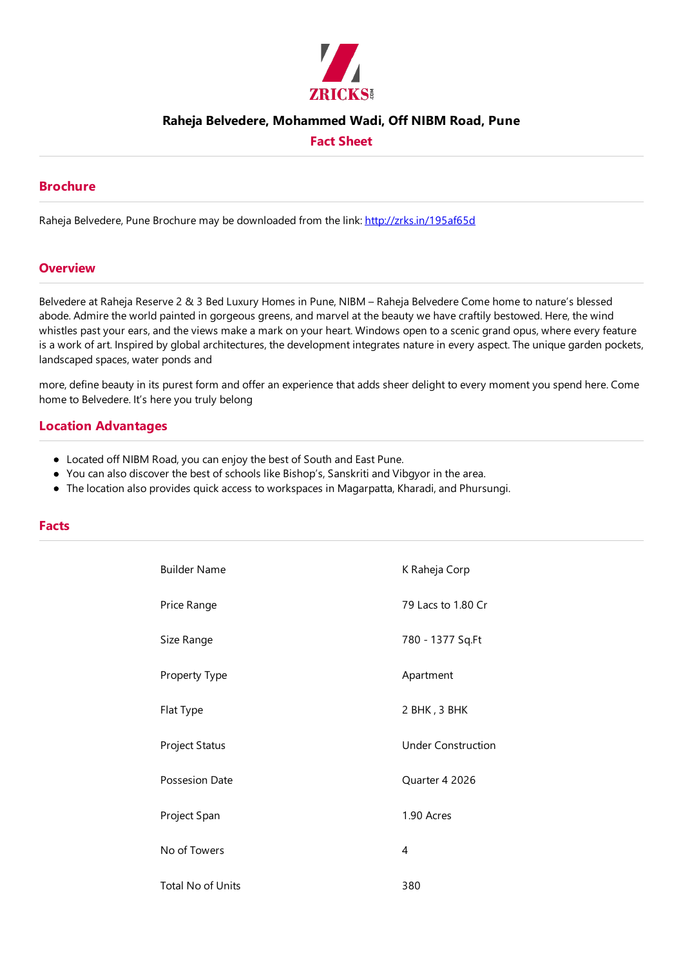

## **Raheja Belvedere, Mohammed Wadi, Off NIBM Road, Pune**

# **Fact Sheet**

## **Brochure**

Raheja Belvedere, Pune Brochure may be downloaded from the link: http://zrks.in/195af65d

#### **Overview**

Belvedere at Raheja Reserve 2 & 3 Bed Luxury Homes in Pune, NIBM – Raheja Belvedere Come home to nature's blessed abode. Admire the world painted in gorgeous greens, and marvel at the beauty we have craftily bestowed. Here, the wind whistles past your ears, and the views make a mark on your heart. Windows open to a scenic grand opus, where every feature is a work of art. Inspired by global architectures, the development integrates nature in every aspect. The unique garden pockets, landscaped spaces, water ponds and

more, define beauty in its purest form and offer an experience that adds sheer delight to every moment you spend here. Come home to Belvedere. It's here you truly belong

## **Location Advantages**

- Located off NIBM Road, you can enjoy the best of South and East Pune.
- You can also discover the best of schools like Bishop's, Sanskriti and Vibgyor in the area.
- The location also provides quick access to workspaces in Magarpatta, Kharadi, and Phursungi.

#### **Facts**

| <b>Builder Name</b>      | K Raheja Corp             |  |
|--------------------------|---------------------------|--|
| Price Range              | 79 Lacs to 1.80 Cr        |  |
| Size Range               | 780 - 1377 Sq.Ft          |  |
| Property Type            | Apartment                 |  |
| Flat Type                | 2 BHK, 3 BHK              |  |
| Project Status           | <b>Under Construction</b> |  |
| Possesion Date           | Quarter 4 2026            |  |
| Project Span             | 1.90 Acres                |  |
| No of Towers             | 4                         |  |
| <b>Total No of Units</b> | 380                       |  |